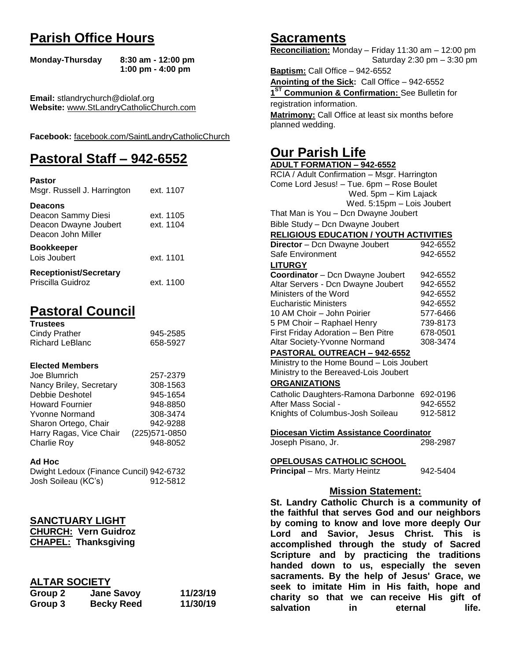## **Parish Office Hours**

```
Monday-Thursday 8:30 am - 12:00 pm
       1:00 pm - 4:00 pm
```
**Email:** stlandrychurch@diolaf.org **Website:** [www.StLandryCatholicChurch.com](http://www.stlandrycatholicchurch.com/)

**Facebook:** [facebook.com/SaintLandryCatholicChurch](http://facebook.com/SaintLandryCatholicChurch)

# **Pastoral Staff – 942-6552**

| <b>Pastor</b><br>Msgr. Russell J. Harrington                                        | ext. 1107              |
|-------------------------------------------------------------------------------------|------------------------|
| <b>Deacons</b><br>Deacon Sammy Diesi<br>Deacon Dwayne Joubert<br>Deacon John Miller | ext. 1105<br>ext. 1104 |
| <b>Bookkeeper</b><br>Lois Joubert                                                   | ext. 1101              |
| <b>Receptionist/Secretary</b><br>Priscilla Guidroz                                  | ext. 1100              |

# **Pastoral Council**

| <b>Trustees</b> |          |
|-----------------|----------|
| Cindy Prather   | 945-2585 |
| Richard LeBlanc | 658-5927 |

#### **Elected Members**

| Joe Blumrich            | 257-2379       |
|-------------------------|----------------|
| Nancy Briley, Secretary | 308-1563       |
| Debbie Deshotel         | 945-1654       |
| <b>Howard Fournier</b>  | 948-8850       |
| <b>Yvonne Normand</b>   | 308-3474       |
| Sharon Ortego, Chair    | 942-9288       |
| Harry Ragas, Vice Chair | (225) 571-0850 |
| <b>Charlie Roy</b>      | 948-8052       |

#### **Ad Hoc**

| Dwight Ledoux (Finance Cuncil) 942-6732 |          |
|-----------------------------------------|----------|
| Josh Soileau (KC's)                     | 912-5812 |

#### **SANCTUARY LIGHT**

**CHURCH: Vern Guidroz CHAPEL: Thanksgiving**

#### **ALTAR SOCIETY**

| Group 2 | <b>Jane Savoy</b> | 11/23/19 |
|---------|-------------------|----------|
| Group 3 | <b>Becky Reed</b> | 11/30/19 |

## **Sacraments**

**Reconciliation:** Monday – Friday 11:30 am – 12:00 pm Saturday 2:30 pm – 3:30 pm

**Baptism:** Call Office – 942-6552 **Anointing of the Sick:** Call Office – 942-6552 **1 ST Communion & Confirmation:** See Bulletin for registration information. **Matrimony:** Call Office at least six months before planned wedding.

## **Our Parish Life**

| <b>ADULT FORMATION - 942-6552</b>              |                   |
|------------------------------------------------|-------------------|
| RCIA / Adult Confirmation - Msgr. Harrington   |                   |
| Come Lord Jesus! - Tue. 6pm - Rose Boulet      |                   |
| Wed. 5pm - Kim Lajack                          |                   |
| Wed. 5:15pm - Lois Joubert                     |                   |
| That Man is You - Dcn Dwayne Joubert           |                   |
| Bible Study - Dcn Dwayne Joubert               |                   |
| <b>RELIGIOUS EDUCATION / YOUTH ACTIVITIES</b>  |                   |
| Director - Dcn Dwayne Joubert                  | 942-6552          |
| Safe Environment                               | 942-6552          |
| <b>LITURGY</b>                                 |                   |
| Coordinator - Dcn Dwayne Joubert               | 942-6552          |
| Altar Servers - Dcn Dwayne Joubert             | 942-6552          |
| Ministers of the Word                          | 942-6552          |
| <b>Eucharistic Ministers</b>                   | 942-6552          |
| 10 AM Choir - John Poirier                     | 577-6466          |
| 5 PM Choir - Raphael Henry                     | 739-8173          |
| First Friday Adoration - Ben Pitre             | 678-0501          |
| Altar Society-Yvonne Normand                   | 308-3474          |
| PASTORAL OUTREACH - 942-6552                   |                   |
| Ministry to the Home Bound - Lois Joubert      |                   |
| Ministry to the Bereaved-Lois Joubert          |                   |
| <b>ORGANIZATIONS</b>                           |                   |
| Catholic Daughters-Ramona Darbonne 692-0196    |                   |
| After Mass Social -                            | 942-6552          |
| Knights of Columbus-Josh Soileau               | 912-5812          |
|                                                |                   |
| Diocesan Victim Assistance Coordinator         |                   |
| Joseph Pisano, Jr.                             | 298-2987          |
|                                                |                   |
| <b>OPELOUSAS CATHOLIC SCHOOL</b>               |                   |
| Principal - Mrs. Marty Heintz                  | 942-5404          |
|                                                |                   |
| <b>Mission Statement:</b>                      |                   |
| St. Landry Catholic Church is a community of   |                   |
| the faithful that serves God and our neighbors |                   |
| by coming to know and love more deeply Our     |                   |
| Lord and Savior, Jesus Christ.                 | <b>This</b><br>is |
| accomplished through the study of Sacred       |                   |
| Scripture and by practicing the traditions     |                   |
|                                                |                   |
| handed down to us, especially the seven        |                   |
| sacraments. By the help of Jesus' Grace, we    |                   |

**seek to imitate Him in His faith, hope and charity so that we can receive His gift of salvation** in eternal life.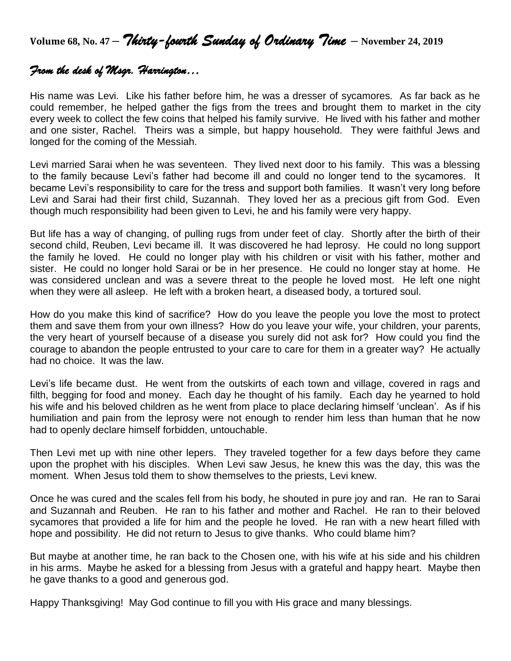**Volume 68, No. 47 –** *Thirty-fourth Sunday of Ordinary Time* **– November 24, <sup>2019</sup>**

## *From the desk of Msgr. Harrington…*

His name was Levi. Like his father before him, he was a dresser of sycamores. As far back as he could remember, he helped gather the figs from the trees and brought them to market in the city every week to collect the few coins that helped his family survive. He lived with his father and mother and one sister, Rachel. Theirs was a simple, but happy household. They were faithful Jews and longed for the coming of the Messiah.

Levi married Sarai when he was seventeen. They lived next door to his family. This was a blessing to the family because Levi's father had become ill and could no longer tend to the sycamores. It became Levi's responsibility to care for the tress and support both families. It wasn't very long before Levi and Sarai had their first child, Suzannah. They loved her as a precious gift from God. Even though much responsibility had been given to Levi, he and his family were very happy.

But life has a way of changing, of pulling rugs from under feet of clay. Shortly after the birth of their second child, Reuben, Levi became ill. It was discovered he had leprosy. He could no long support the family he loved. He could no longer play with his children or visit with his father, mother and sister. He could no longer hold Sarai or be in her presence. He could no longer stay at home. He was considered unclean and was a severe threat to the people he loved most. He left one night when they were all asleep. He left with a broken heart, a diseased body, a tortured soul.

How do you make this kind of sacrifice? How do you leave the people you love the most to protect them and save them from your own illness? How do you leave your wife, your children, your parents, the very heart of yourself because of a disease you surely did not ask for? How could you find the courage to abandon the people entrusted to your care to care for them in a greater way? He actually had no choice. It was the law.

Levi's life became dust. He went from the outskirts of each town and village, covered in rags and filth, begging for food and money. Each day he thought of his family. Each day he yearned to hold his wife and his beloved children as he went from place to place declaring himself 'unclean'. As if his humiliation and pain from the leprosy were not enough to render him less than human that he now had to openly declare himself forbidden, untouchable.

Then Levi met up with nine other lepers. They traveled together for a few days before they came upon the prophet with his disciples. When Levi saw Jesus, he knew this was the day, this was the moment. When Jesus told them to show themselves to the priests, Levi knew.

Once he was cured and the scales fell from his body, he shouted in pure joy and ran. He ran to Sarai and Suzannah and Reuben. He ran to his father and mother and Rachel. He ran to their beloved sycamores that provided a life for him and the people he loved. He ran with a new heart filled with hope and possibility. He did not return to Jesus to give thanks. Who could blame him?

But maybe at another time, he ran back to the Chosen one, with his wife at his side and his children in his arms. Maybe he asked for a blessing from Jesus with a grateful and happy heart. Maybe then he gave thanks to a good and generous god.

Happy Thanksgiving! May God continue to fill you with His grace and many blessings.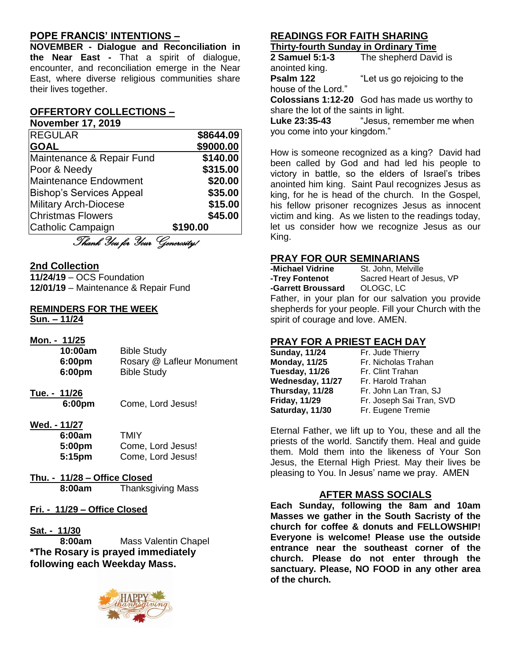### **POPE FRANCIS' INTENTIONS –**

**NOVEMBER - Dialogue and Reconciliation in the Near East -** That a spirit of dialogue, encounter, and reconciliation emerge in the Near East, where diverse religious communities share their lives together.

#### **OFFERTORY COLLECTIONS –**

**November 17, 2019**

| <b>REGULAR</b>                  | \$8644.09 |
|---------------------------------|-----------|
| <b>GOAL</b>                     | \$9000.00 |
| Maintenance & Repair Fund       | \$140.00  |
| Poor & Needy                    | \$315.00  |
| <b>Maintenance Endowment</b>    | \$20.00   |
| <b>Bishop's Services Appeal</b> | \$35.00   |
| <b>Military Arch-Diocese</b>    | \$15.00   |
| <b>Christmas Flowers</b>        | \$45.00   |
| Catholic Campaign               | \$190.00  |
| Thank You for Your Generosity/  |           |

#### **2nd Collection**

**11/24/19** – OCS Foundation **12/01/19** – Maintenance & Repair Fund

# **REMINDERS FOR THE WEEK**

**Sun. – 11/24**

| Mon. - 11/25 |                           |
|--------------|---------------------------|
| 10:00am      | <b>Bible Study</b>        |
| 6:00pm       | Rosary @ Lafleur Monument |
| 6:00pm       | <b>Bible Study</b>        |
|              |                           |

- **Tue. - 11/26**
	- **6:00pm** Come, Lord Jesus!
- **Wed. - 11/27**

| 6:00am             | TMIY              |
|--------------------|-------------------|
| 5:00 <sub>pm</sub> | Come, Lord Jesus! |
| 5:15 <sub>pm</sub> | Come, Lord Jesus! |

- **Thu. - 11/28 – Office Closed 8:00am** Thanksgiving Mass
- **Fri. - 11/29 – Office Closed**

#### **Sat. - 11/30**

**8:00am** Mass Valentin Chapel **\*The Rosary is prayed immediately following each Weekday Mass.**



#### **READINGS FOR FAITH SHARING Thirty-fourth Sunday in Ordinary Time**

**2 Samuel 5:1-3** The shepherd David is anointed king. **Psalm 122** "Let us go rejoicing to the house of the Lord."

**Colossians 1:12-20** God has made us worthy to share the lot of the saints in light.

**Luke 23:35-43** "Jesus, remember me when you come into your kingdom."

How is someone recognized as a king? David had been called by God and had led his people to victory in battle, so the elders of Israel's tribes anointed him king. Saint Paul recognizes Jesus as king, for he is head of the church. In the Gospel, his fellow prisoner recognizes Jesus as innocent victim and king. As we listen to the readings today, let us consider how we recognize Jesus as our King.

### **PRAY FOR OUR SEMINARIANS**

| -Michael Vidrine   | St. John, Melville        |
|--------------------|---------------------------|
| -Trey Fontenot     | Sacred Heart of Jesus, VP |
| -Garrett Broussard | OLOGC. LC                 |
| - -                |                           |

Father, in your plan for our salvation you provide shepherds for your people. Fill your Church with the spirit of courage and love. AMEN.

## **PRAY FOR A PRIEST EACH DAY**

| <b>Sunday, 11/24</b> |  |
|----------------------|--|
| <b>Monday, 11/25</b> |  |
| Tuesday, 11/26       |  |
| Wednesday, 11/27     |  |
| Thursday, 11/28      |  |
| <b>Friday, 11/29</b> |  |
| Saturday, 11/30      |  |

**Fr. Jude Thierry Monday, 11/25** Fr. Nicholas Trahan **Fr. Clint Trahan Fr. Harold Trahan Thursday, 11/28** Fr. John Lan Tran, SJ Fr. Joseph Sai Tran, SVD **Fr. Eugene Tremie** 

Eternal Father, we lift up to You, these and all the priests of the world. Sanctify them. Heal and guide them. Mold them into the likeness of Your Son Jesus, the Eternal High Priest. May their lives be pleasing to You. In Jesus' name we pray. AMEN

#### **AFTER MASS SOCIALS**

**Each Sunday, following the 8am and 10am Masses we gather in the South Sacristy of the church for coffee & donuts and FELLOWSHIP! Everyone is welcome! Please use the outside entrance near the southeast corner of the church. Please do not enter through the sanctuary. Please, NO FOOD in any other area of the church.**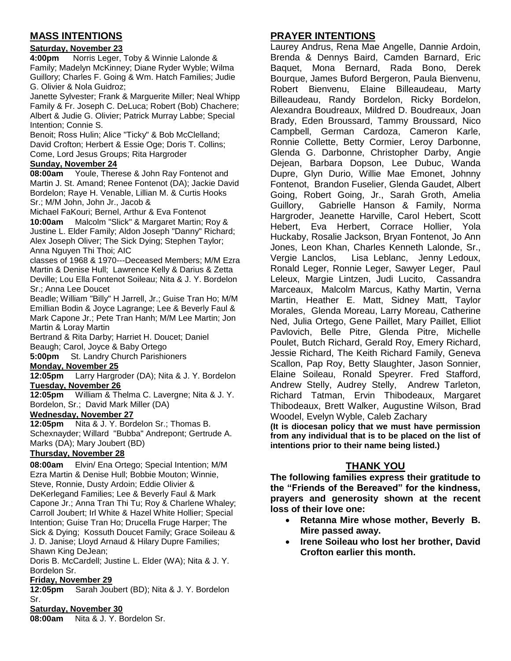## **MASS INTENTIONS**

#### **Saturday, November 23**

**4:00pm** Norris Leger, Toby & Winnie Lalonde & Family; Madelyn McKinney; Diane Ryder Wyble; Wilma Guillory; Charles F. Going & Wm. Hatch Families; Judie G. Olivier & Nola Guidroz;

Janette Sylvester; Frank & Marguerite Miller; Neal Whipp Family & Fr. Joseph C. DeLuca; Robert (Bob) Chachere; Albert & Judie G. Olivier; Patrick Murray Labbe; Special Intention; Connie S.

Benoit; Ross Hulin; Alice "Ticky" & Bob McClelland; David Crofton; Herbert & Essie Oge; Doris T. Collins; Come, Lord Jesus Groups; Rita Hargroder

#### **Sunday, November 24**

**08:00am** Youle, Therese & John Ray Fontenot and Martin J. St. Amand; Renee Fontenot (DA); Jackie David Bordelon; Raye H. Venable, Lillian M. & Curtis Hooks Sr.; M/M John, John Jr., Jacob &

Michael FaKouri; Bernel, Arthur & Eva Fontenot **10:00am** Malcolm "Slick" & Margaret Martin; Roy & Justine L. Elder Family; Aldon Joseph "Danny" Richard; Alex Joseph Oliver; The Sick Dying; Stephen Taylor; Anna Nguyen Thi Thoi; AIC

classes of 1968 & 1970---Deceased Members; M/M Ezra Martin & Denise Hull; Lawrence Kelly & Darius & Zetta Deville; Lou Ella Fontenot Soileau; Nita & J. Y. Bordelon Sr.; Anna Lee Doucet

Beadle; William "Billy" H Jarrell, Jr.; Guise Tran Ho; M/M Emillian Bodin & Joyce Lagrange; Lee & Beverly Faul & Mark Capone Jr.; Pete Tran Hanh; M/M Lee Martin; Jon Martin & Loray Martin

Bertrand & Rita Darby; Harriet H. Doucet; Daniel Beaugh; Carol, Joyce & Baby Ortego

**5:00pm** St. Landry Church Parishioners

#### **Monday, November 25**

**12:05pm** Larry Hargroder (DA); Nita & J. Y. Bordelon **Tuesday, November 26**

**12:05pm** William & Thelma C. Lavergne; Nita & J. Y. Bordelon, Sr.; David Mark Miller (DA)

#### **Wednesday, November 27**

**12:05pm** Nita & J. Y. Bordelon Sr.; Thomas B. Schexnayder; Willard "Bubba" Andrepont; Gertrude A. Marks (DA); Mary Joubert (BD)

#### **Thursday, November 28**

**08:00am** Elvin/ Ena Ortego; Special Intention; M/M Ezra Martin & Denise Hull; Bobbie Mouton; Winnie, Steve, Ronnie, Dusty Ardoin; Eddie Olivier & DeKerlegand Families; Lee & Beverly Faul & Mark Capone Jr.; Anna Tran Thi Tu; Roy & Charlene Whaley; Carroll Joubert; Irl White & Hazel White Hollier; Special Intention; Guise Tran Ho; Drucella Fruge Harper; The Sick & Dying; Kossuth Doucet Family; Grace Soileau & J. D. Janise; Lloyd Arnaud & Hilary Dupre Families; Shawn King DeJean;

Doris B. McCardell; Justine L. Elder (WA); Nita & J. Y. Bordelon Sr.

#### **Friday, November 29**

**12:05pm** Sarah Joubert (BD); Nita & J. Y. Bordelon Sr.

### **Saturday, November 30**

**08:00am** Nita & J. Y. Bordelon Sr.

## **PRAYER INTENTIONS**

Laurey Andrus, Rena Mae Angelle, Dannie Ardoin, Brenda & Dennys Baird, Camden Barnard, Eric Baquet, Mona Bernard, Rada Bono, Derek Bourque, James Buford Bergeron, Paula Bienvenu, Robert Bienvenu, Elaine Billeaudeau, Marty Billeaudeau, Randy Bordelon, Ricky Bordelon, Alexandra Boudreaux, Mildred D. Boudreaux, Joan Brady, Eden Broussard, Tammy Broussard, Nico Campbell, German Cardoza, Cameron Karle, Ronnie Collette, Betty Cormier, Leroy Darbonne, Glenda G. Darbonne, Christopher Darby, Angie Dejean, Barbara Dopson, Lee Dubuc, Wanda Dupre, Glyn Durio, Willie Mae Emonet, Johnny Fontenot, Brandon Fuselier, Glenda Gaudet, Albert Going, Robert Going, Jr., Sarah Groth, Amelia Guillory, Gabrielle Hanson & Family, Norma Hargroder, Jeanette Harville, Carol Hebert, Scott Hebert, Eva Herbert, Corrace Hollier, Yola Huckaby, Rosalie Jackson, Bryan Fontenot, Jo Ann Jones, Leon Khan, Charles Kenneth Lalonde, Sr., Vergie Lanclos, Lisa Leblanc, Jenny Ledoux, Ronald Leger, Ronnie Leger, Sawyer Leger, Paul Leleux, Margie Lintzen, Judi Lucito, Cassandra Marceaux, Malcolm Marcus, Kathy Martin, Verna Martin, Heather E. Matt, Sidney Matt, Taylor Morales, Glenda Moreau, Larry Moreau, Catherine Ned, Julia Ortego, Gene Paillet, Mary Paillet, Elliot Pavlovich, Belle Pitre, Glenda Pitre, Michelle Poulet, Butch Richard, Gerald Roy, Emery Richard, Jessie Richard, The Keith Richard Family, Geneva Scallon, Pap Roy, Betty Slaughter, Jason Sonnier, Elaine Soileau, Ronald Speyrer. Fred Stafford, Andrew Stelly, Audrey Stelly, Andrew Tarleton, Richard Tatman, Ervin Thibodeaux, Margaret Thibodeaux, Brett Walker, Augustine Wilson, Brad Woodel, Evelyn Wyble, Caleb Zachary

**(It is diocesan policy that we must have permission from any individual that is to be placed on the list of intentions prior to their name being listed.)**

#### **THANK YOU**

**The following families express their gratitude to the "Friends of the Bereaved" for the kindness, prayers and generosity shown at the recent loss of their love one:**

- **Retanna Mire whose mother, Beverly B. Mire passed away.**
- **Irene Soileau who lost her brother, David Crofton earlier this month.**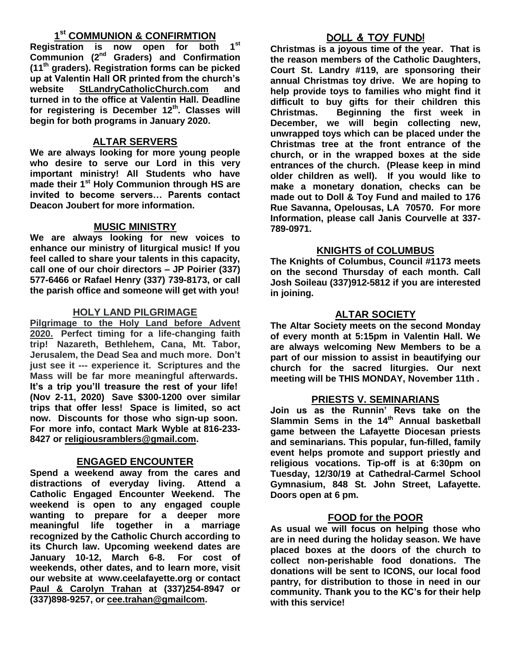### **1 st COMMUNION & CONFIRMTION**

**Registration is now open for both 1st Communion (2nd Graders) and Confirmation (11th graders). Registration forms can be picked up at Valentin Hall OR printed from the church's website StLandryCatholicChurch.com and turned in to the office at Valentin Hall. Deadline for registering is December 12th. Classes will begin for both programs in January 2020.**

### **ALTAR SERVERS**

**We are always looking for more young people who desire to serve our Lord in this very important ministry! All Students who have made their 1st Holy Communion through HS are invited to become servers… Parents contact Deacon Joubert for more information.**

#### **MUSIC MINISTRY**

**We are always looking for new voices to enhance our ministry of liturgical music! If you feel called to share your talents in this capacity, call one of our choir directors – JP Poirier (337) 577-6466 or Rafael Henry (337) 739-8173, or call the parish office and someone will get with you!**

#### **HOLY LAND PILGRIMAGE**

**Pilgrimage to the Holy Land before Advent 2020. Perfect timing for a life-changing faith trip! Nazareth, Bethlehem, Cana, Mt. Tabor, Jerusalem, the Dead Sea and much more. Don't just see it --- experience it. Scriptures and the Mass will be far more meaningful afterwards. It's a trip you'll treasure the rest of your life! (Nov 2-11, 2020) Save \$300-1200 over similar trips that offer less! Space is limited, so act now. Discounts for those who sign-up soon. For more info, contact Mark Wyble at 816-233- 8427 or [religiousramblers@gmail.com.](mailto:religiousramblers@gmail.com)**

#### **ENGAGED ENCOUNTER**

**Spend a weekend away from the cares and distractions of everyday living. Attend a Catholic Engaged Encounter Weekend. The weekend is open to any engaged couple wanting to prepare for a deeper more meaningful life together in a marriage recognized by the Catholic Church according to its Church law. Upcoming weekend dates are January 10-12, March 6-8. For cost of weekends, other dates, and to learn more, visit our website at www.ceelafayette.org or contact Paul & Carolyn Trahan at (337)254-8947 or (337)898-9257, or [cee.trahan@gmailcom.](mailto:cee.trahan@gmailcom)**

## **DOLL & TOY FUND!**

**Christmas is a joyous time of the year. That is the reason members of the Catholic Daughters, Court St. Landry #119, are sponsoring their annual Christmas toy drive. We are hoping to help provide toys to families who might find it difficult to buy gifts for their children this Christmas. Beginning the first week in December, we will begin collecting new, unwrapped toys which can be placed under the Christmas tree at the front entrance of the church, or in the wrapped boxes at the side entrances of the church. (Please keep in mind older children as well). If you would like to make a monetary donation, checks can be made out to Doll & Toy Fund and mailed to 176 Rue Savanna, Opelousas, LA 70570. For more Information, please call Janis Courvelle at 337- 789-0971.** 

#### **KNIGHTS of COLUMBUS**

**The Knights of Columbus, Council #1173 meets on the second Thursday of each month. Call Josh Soileau (337)912-5812 if you are interested in joining.** 

#### **ALTAR SOCIETY**

**The Altar Society meets on the second Monday of every month at 5:15pm in Valentin Hall. We are always welcoming New Members to be a part of our mission to assist in beautifying our church for the sacred liturgies. Our next meeting will be THIS MONDAY, November 11th .** 

#### **PRIESTS V. SEMINARIANS**

**Join us as the Runnin' Revs take on the Slammin Sems in the 14 th Annual basketball game between the Lafayette Diocesan priests and seminarians. This popular, fun-filled, family event helps promote and support priestly and religious vocations. Tip-off is at 6:30pm on Tuesday, 12/30/19 at Cathedral-Carmel School Gymnasium, 848 St. John Street, Lafayette. Doors open at 6 pm.** 

#### **FOOD for the POOR**

**As usual we will focus on helping those who are in need during the holiday season. We have placed boxes at the doors of the church to collect non-perishable food donations. The donations will be sent to ICONS, our local food pantry, for distribution to those in need in our community. Thank you to the KC's for their help with this service!**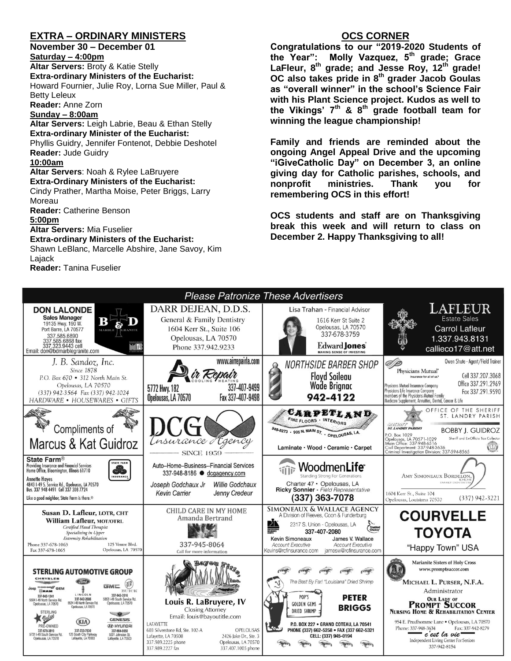#### **EXTRA – ORDINARY MINISTERS**

Moreau

**5:00pm** 

Lajack

**Reader:** Catherine Benson

**Altar Servers:** Mia Fuselier

**Extra-ordinary Ministers of the Eucharist:** Shawn LeBlanc, Marcelle Abshire, Jane Savoy, Kim

**November 30 – December 01 Saturday – 4:00pm Altar Servers:** Broty & Katie Stelly **Extra-ordinary Ministers of the Eucharist:**  Howard Fournier, Julie Roy, Lorna Sue Miller, Paul & Betty Leleux **Reader:** Anne Zorn **Sunday – 8:00am Altar Servers:** Leigh Labrie, Beau & Ethan Stelly **Extra-ordinary Minister of the Eucharist:** Phyllis Guidry, Jennifer Fontenot, Debbie Deshotel **Reader:** Jude Guidry **10:00am Altar Servers**: Noah & Rylee LaBruyere **Extra-Ordinary Ministers of the Eucharist:** Cindy Prather, Martha Moise, Peter Briggs, Larry

#### **OCS CORNER**

**Congratulations to our "2019-2020 Students of the Year": Molly Vazquez, 5th grade; Grace LaFleur, 8th grade; and Jesse Roy, 12th grade! OC also takes pride in 8th grader Jacob Goulas as "overall winner" in the school's Science Fair with his Plant Science project. Kudos as well to the Vikings' 7th & 8th grade football team for winning the league championship!**

**Family and friends are reminded about the ongoing Angel Appeal Drive and the upcoming "iGiveCatholic Day" on December 3, an online giving day for Catholic parishes, schools, and nonprofit ministries. Thank you for remembering OCS in this effort!**

**OCS students and staff are on Thanksgiving break this week and will return to class on December 2. Happy Thanksgiving to all!**